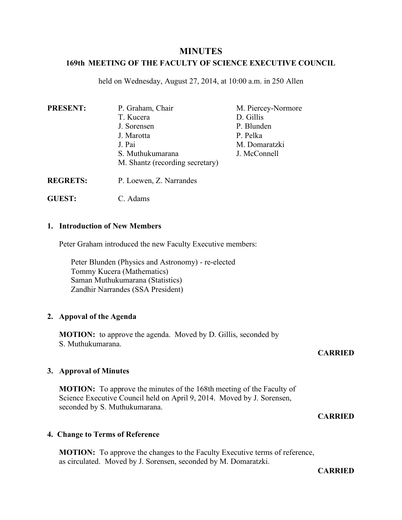# **MINUTES**

# **169th MEETING OF THE FACULTY OF SCIENCE EXECUTIVE COUNCIL**

held on Wednesday, August 27, 2014, at 10:00 a.m. in 250 Allen

| <b>PRESENT:</b> | P. Graham, Chair                | M. Piercey-Normore |
|-----------------|---------------------------------|--------------------|
|                 | T. Kucera                       | D. Gillis          |
|                 | J. Sorensen                     | P. Blunden         |
|                 | J. Marotta                      | P. Pelka           |
|                 | J. Pai                          | M. Domaratzki      |
|                 | S. Muthukumarana                | J. McConnell       |
|                 | M. Shantz (recording secretary) |                    |
|                 |                                 |                    |

- **REGRETS:** P. Loewen, Z. Narrandes
- **GUEST:** C. Adams

## **1. Introduction of New Members**

Peter Graham introduced the new Faculty Executive members:

Peter Blunden (Physics and Astronomy) - re-elected Tommy Kucera (Mathematics) Saman Muthukumarana (Statistics) Zandhir Narrandes (SSA President)

# **2. Appoval of the Agenda**

**MOTION:** to approve the agenda. Moved by D. Gillis, seconded by S. Muthukumarana.

### **CARRIED**

# **3. Approval of Minutes**

**MOTION:** To approve the minutes of the 168th meeting of the Faculty of Science Executive Council held on April 9, 2014. Moved by J. Sorensen, seconded by S. Muthukumarana.

# **CARRIED**

## **4. Change to Terms of Reference**

**MOTION:** To approve the changes to the Faculty Executive terms of reference, as circulated. Moved by J. Sorensen, seconded by M. Domaratzki.

**CARRIED**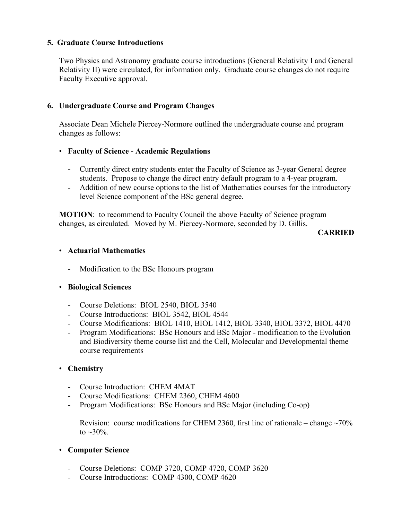## **5. Graduate Course Introductions**

Two Physics and Astronomy graduate course introductions (General Relativity I and General Relativity II) were circulated, for information only. Graduate course changes do not require Faculty Executive approval.

## **6. Undergraduate Course and Program Changes**

Associate Dean Michele Piercey-Normore outlined the undergraduate course and program changes as follows:

### • **Faculty of Science - Academic Regulations**

- **-** Currently direct entry students enter the Faculty of Science as 3-year General degree students. Propose to change the direct entry default program to a 4-year program.
- Addition of new course options to the list of Mathematics courses for the introductory level Science component of the BSc general degree.

**MOTION**: to recommend to Faculty Council the above Faculty of Science program changes, as circulated. Moved by M. Piercey-Normore, seconded by D. Gillis.

### **CARRIED**

### • **Actuarial Mathematics**

- Modification to the BSc Honours program

# • **Biological Sciences**

- Course Deletions: BIOL 2540, BIOL 3540
- Course Introductions: BIOL 3542, BIOL 4544
- Course Modifications: BIOL 1410, BIOL 1412, BIOL 3340, BIOL 3372, BIOL 4470
- Program Modifications: BSc Honours and BSc Major modification to the Evolution and Biodiversity theme course list and the Cell, Molecular and Developmental theme course requirements

### • **Chemistry**

- Course Introduction: CHEM 4MAT
- Course Modifications: CHEM 2360, CHEM 4600
- Program Modifications: BSc Honours and BSc Major (including Co-op)

Revision: course modifications for CHEM 2360, first line of rationale – change  $\sim$ 70% to  $\sim 30\%$ .

- **Computer Science**
	- Course Deletions: COMP 3720, COMP 4720, COMP 3620
	- Course Introductions: COMP 4300, COMP 4620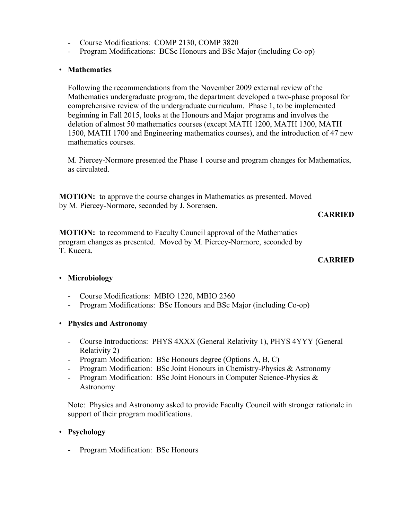- Course Modifications: COMP 2130, COMP 3820
- Program Modifications: BCSc Honours and BSc Major (including Co-op)

# • **Mathematics**

Following the recommendations from the November 2009 external review of the Mathematics undergraduate program, the department developed a two-phase proposal for comprehensive review of the undergraduate curriculum. Phase 1, to be implemented beginning in Fall 2015, looks at the Honours and Major programs and involves the deletion of almost 50 mathematics courses (except MATH 1200, MATH 1300, MATH 1500, MATH 1700 and Engineering mathematics courses), and the introduction of 47 new mathematics courses.

M. Piercey-Normore presented the Phase 1 course and program changes for Mathematics, as circulated.

**MOTION:** to approve the course changes in Mathematics as presented. Moved by M. Piercey-Normore, seconded by J. Sorensen.

**CARRIED**

**MOTION:** to recommend to Faculty Council approval of the Mathematics program changes as presented. Moved by M. Piercey-Normore, seconded by T. Kucera.

# **CARRIED**

# • **Microbiology**

- Course Modifications: MBIO 1220, MBIO 2360
- Program Modifications: BSc Honours and BSc Major (including Co-op)
- **Physics and Astronomy**
	- Course Introductions: PHYS 4XXX (General Relativity 1), PHYS 4YYY (General Relativity 2)
	- Program Modification: BSc Honours degree (Options A, B, C)
	- Program Modification: BSc Joint Honours in Chemistry-Physics & Astronomy
	- Program Modification: BSc Joint Honours in Computer Science-Physics & Astronomy

Note: Physics and Astronomy asked to provide Faculty Council with stronger rationale in support of their program modifications.

# • **Psychology**

Program Modification: BSc Honours